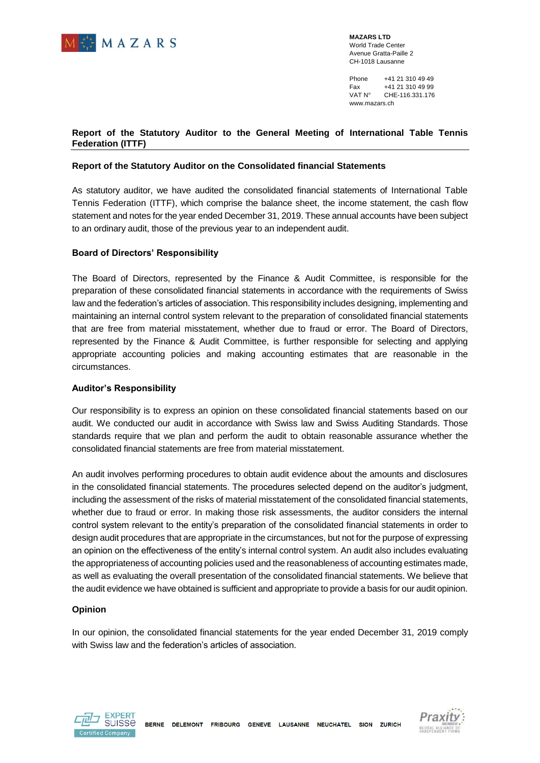

**MAZARS LTD** World Trade Center Avenue Gratta-Paille 2 CH-1018 Lausanne

Phone +41 21 310 49 49<br>Fax +41 21 310 49 99 Fax +41 21 310 49 99 VAT N° CHE-116.331.176 www.mazars.ch

## **INTERNATIONAL TABLE TENNIS FEDERATION (ITTF) LAUSANNE**

**\_\_\_\_\_\_\_\_\_\_\_\_\_\_\_\_\_\_\_\_\_\_\_\_\_\_\_**

## **STATUTORY AUDITOR'S REPORT**

To the General Meeting consolidated financial statements **December 31, 2019**

**\_\_\_\_\_\_\_\_\_\_\_\_\_\_\_\_\_\_\_\_\_\_\_\_\_\_\_\_\_\_\_\_\_\_\_\_\_\_**



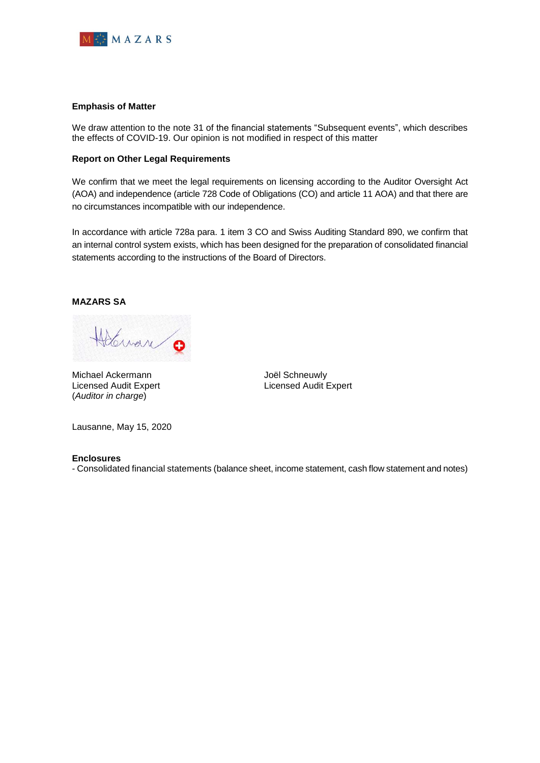

**MAZARS LTD** World Trade Center Avenue Gratta-Paille 2 CH-1018 Lausanne

Phone +41 21 310 49 49<br>Fax +41 21 310 49 99 Fax +41 21 310 49 99<br>VAT N° CHE-116.331.176 CHE-116.331.176 www.mazars.ch

### **Report of the Statutory Auditor to the General Meeting of International Table Tennis Federation (ITTF)**

#### **Report of the Statutory Auditor on the Consolidated financial Statements**

As statutory auditor, we have audited the consolidated financial statements of International Table Tennis Federation (ITTF), which comprise the balance sheet, the income statement, the cash flow statement and notes for the year ended December 31, 2019. These annual accounts have been subject to an ordinary audit, those of the previous year to an independent audit.

#### **Board of Directors' Responsibility**

The Board of Directors, represented by the Finance & Audit Committee, is responsible for the preparation of these consolidated financial statements in accordance with the requirements of Swiss law and the federation's articles of association. This responsibility includes designing, implementing and maintaining an internal control system relevant to the preparation of consolidated financial statements that are free from material misstatement, whether due to fraud or error. The Board of Directors, represented by the Finance & Audit Committee, is further responsible for selecting and applying appropriate accounting policies and making accounting estimates that are reasonable in the circumstances.

#### **Auditor's Responsibility**

Our responsibility is to express an opinion on these consolidated financial statements based on our audit. We conducted our audit in accordance with Swiss law and Swiss Auditing Standards. Those standards require that we plan and perform the audit to obtain reasonable assurance whether the consolidated financial statements are free from material misstatement.

An audit involves performing procedures to obtain audit evidence about the amounts and disclosures in the consolidated financial statements. The procedures selected depend on the auditor's judgment, including the assessment of the risks of material misstatement of the consolidated financial statements, whether due to fraud or error. In making those risk assessments, the auditor considers the internal control system relevant to the entity's preparation of the consolidated financial statements in order to design audit procedures that are appropriate in the circumstances, but not for the purpose of expressing an opinion on the effectiveness of the entity's internal control system. An audit also includes evaluating the appropriateness of accounting policies used and the reasonableness of accounting estimates made, as well as evaluating the overall presentation of the consolidated financial statements. We believe that the audit evidence we have obtained is sufficient and appropriate to provide a basis for our audit opinion.

#### **Opinion**

In our opinion, the consolidated financial statements for the year ended December 31, 2019 comply with Swiss law and the federation's articles of association.



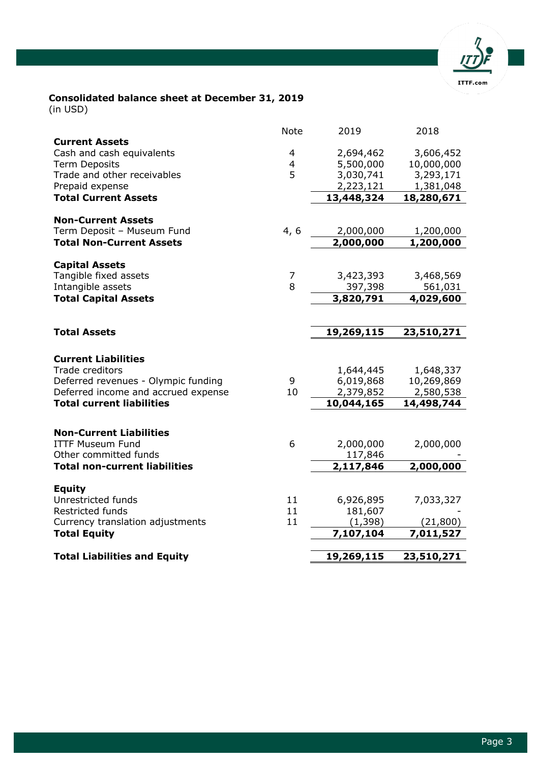

#### **Emphasis of Matter**

We draw attention to the note 31 of the financial statements "Subsequent events", which describes the effects of COVID-19. Our opinion is not modified in respect of this matter

#### **Report on Other Legal Requirements**

We confirm that we meet the legal requirements on licensing according to the Auditor Oversight Act (AOA) and independence (article 728 Code of Obligations (CO) and article 11 AOA) and that there are no circumstances incompatible with our independence.

In accordance with article 728a para. 1 item 3 CO and Swiss Auditing Standard 890, we confirm that an internal control system exists, which has been designed for the preparation of consolidated financial statements according to the instructions of the Board of Directors.

## **MAZARS SA**

Holman 0

Michael Ackermann **Michael Ackermann** Joël Schneuwly (*Auditor in charge*)

.<br>rewalg

Licensed Audit Expert Licensed Audit Expert

Lausanne, May 15, 2020

#### **Enclosures**

- Consolidated financial statements (balance sheet, income statement, cash flow statement and notes)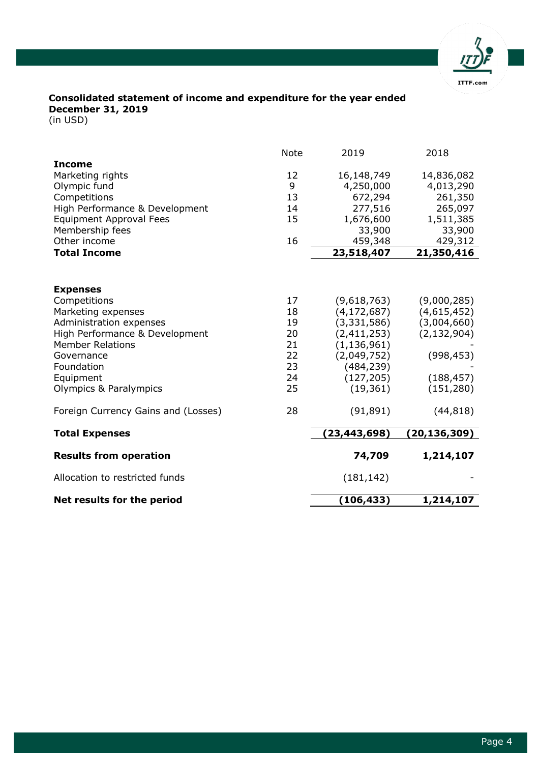

# **Consolidated balance sheet at December 31, 2019**

(in USD)

|                                                                            | <b>Note</b> | 2019                    | 2018                    |
|----------------------------------------------------------------------------|-------------|-------------------------|-------------------------|
| <b>Current Assets</b>                                                      |             |                         |                         |
| Cash and cash equivalents                                                  | 4           | 2,694,462               | 3,606,452               |
| <b>Term Deposits</b><br>Trade and other receivables                        | 4<br>5      | 5,500,000<br>3,030,741  | 10,000,000<br>3,293,171 |
| Prepaid expense                                                            |             | 2,223,121               | 1,381,048               |
| <b>Total Current Assets</b>                                                |             | 13,448,324              | 18,280,671              |
|                                                                            |             |                         |                         |
| <b>Non-Current Assets</b>                                                  |             |                         |                         |
| Term Deposit - Museum Fund                                                 | 4, 6        | 2,000,000               | 1,200,000               |
| <b>Total Non-Current Assets</b>                                            |             | 2,000,000               | 1,200,000               |
|                                                                            |             |                         |                         |
| <b>Capital Assets</b><br>Tangible fixed assets                             | 7           | 3,423,393               | 3,468,569               |
| Intangible assets                                                          | 8           | 397,398                 | 561,031                 |
| <b>Total Capital Assets</b>                                                |             | 3,820,791               | 4,029,600               |
|                                                                            |             |                         |                         |
| <b>Total Assets</b>                                                        |             | 19,269,115              | 23,510,271              |
|                                                                            |             |                         |                         |
|                                                                            |             |                         |                         |
|                                                                            |             |                         |                         |
| <b>Current Liabilities</b>                                                 |             |                         |                         |
| Trade creditors                                                            | 9           | 1,644,445               | 1,648,337               |
| Deferred revenues - Olympic funding<br>Deferred income and accrued expense | 10          | 6,019,868               | 10,269,869              |
| <b>Total current liabilities</b>                                           |             | 2,379,852<br>10,044,165 | 2,580,538<br>14,498,744 |
|                                                                            |             |                         |                         |
| <b>Non-Current Liabilities</b>                                             |             |                         |                         |
| <b>ITTF Museum Fund</b>                                                    | 6           | 2,000,000               | 2,000,000               |
| Other committed funds                                                      |             | 117,846                 |                         |
| <b>Total non-current liabilities</b>                                       |             | 2,117,846               | 2,000,000               |
|                                                                            |             |                         |                         |
| <b>Equity</b>                                                              |             |                         |                         |
| Unrestricted funds                                                         | 11          | 6,926,895               | 7,033,327               |
| Restricted funds                                                           | 11<br>11    | 181,607                 |                         |
| Currency translation adjustments<br><b>Total Equity</b>                    |             | (1, 398)<br>7,107,104   | (21, 800)<br>7,011,527  |
| <b>Total Liabilities and Equity</b>                                        |             | 19,269,115              | 23,510,271              |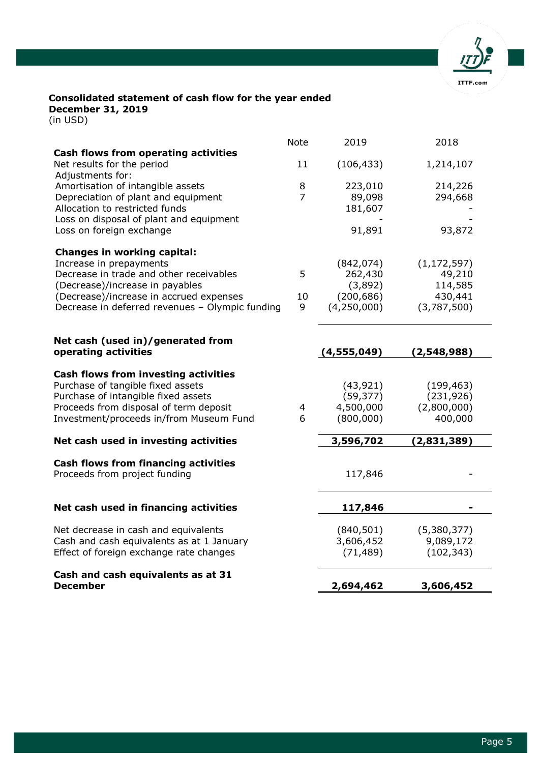

## **Consolidated statement of income and expenditure for the year ended December 31, 2019**

(in USD)

|                                                                                                                                                                                        | <b>Note</b>                                  | 2019                                                                                                                   | 2018                                                                                   |
|----------------------------------------------------------------------------------------------------------------------------------------------------------------------------------------|----------------------------------------------|------------------------------------------------------------------------------------------------------------------------|----------------------------------------------------------------------------------------|
| <b>Income</b>                                                                                                                                                                          |                                              |                                                                                                                        |                                                                                        |
| Marketing rights                                                                                                                                                                       | 12                                           | 16,148,749                                                                                                             | 14,836,082                                                                             |
| Olympic fund                                                                                                                                                                           | 9                                            | 4,250,000                                                                                                              | 4,013,290                                                                              |
| Competitions                                                                                                                                                                           | 13                                           | 672,294                                                                                                                | 261,350                                                                                |
| High Performance & Development                                                                                                                                                         | 14                                           | 277,516                                                                                                                | 265,097                                                                                |
| <b>Equipment Approval Fees</b>                                                                                                                                                         | 15                                           | 1,676,600                                                                                                              | 1,511,385                                                                              |
| Membership fees                                                                                                                                                                        |                                              | 33,900                                                                                                                 | 33,900                                                                                 |
| Other income                                                                                                                                                                           | 16                                           | 459,348                                                                                                                | 429,312                                                                                |
| <b>Total Income</b>                                                                                                                                                                    |                                              | 23,518,407                                                                                                             | 21,350,416                                                                             |
| <b>Expenses</b><br>Competitions<br>Marketing expenses<br>Administration expenses<br>High Performance & Development<br><b>Member Relations</b><br>Governance<br>Foundation<br>Equipment | 17<br>18<br>19<br>20<br>21<br>22<br>23<br>24 | (9,618,763)<br>(4, 172, 687)<br>(3,331,586)<br>(2,411,253)<br>(1, 136, 961)<br>(2,049,752)<br>(484, 239)<br>(127, 205) | (9,000,285)<br>(4,615,452)<br>(3,004,660)<br>(2, 132, 904)<br>(998, 453)<br>(188, 457) |
| Olympics & Paralympics                                                                                                                                                                 | 25                                           | (19, 361)                                                                                                              | (151, 280)                                                                             |
| Foreign Currency Gains and (Losses)                                                                                                                                                    | 28                                           | (91, 891)                                                                                                              | (44, 818)                                                                              |
| <b>Total Expenses</b>                                                                                                                                                                  |                                              | (23, 443, 698)                                                                                                         | (20, 136, 309)                                                                         |
| <b>Results from operation</b>                                                                                                                                                          |                                              | 74,709                                                                                                                 | 1,214,107                                                                              |
| Allocation to restricted funds                                                                                                                                                         |                                              | (181, 142)                                                                                                             |                                                                                        |
| Net results for the period                                                                                                                                                             |                                              | (106, 433)                                                                                                             | 1,214,107                                                                              |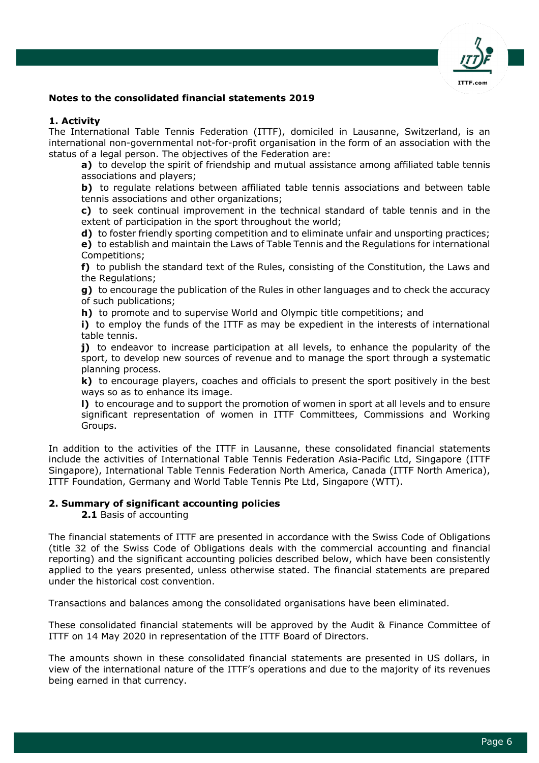

## **Consolidated statement of cash flow for the year ended December 31, 2019**

(in USD)

|                                                                                               | <b>Note</b>    | 2019                      | 2018                     |
|-----------------------------------------------------------------------------------------------|----------------|---------------------------|--------------------------|
| <b>Cash flows from operating activities</b><br>Net results for the period<br>Adjustments for: | 11             | (106, 433)                | 1,214,107                |
| Amortisation of intangible assets                                                             | 8              | 223,010                   | 214,226                  |
| Depreciation of plant and equipment<br>Allocation to restricted funds                         | $\overline{7}$ | 89,098                    | 294,668                  |
| Loss on disposal of plant and equipment                                                       |                | 181,607                   |                          |
| Loss on foreign exchange                                                                      |                | 91,891                    | 93,872                   |
| Changes in working capital:                                                                   |                |                           |                          |
| Increase in prepayments                                                                       |                | (842, 074)                | (1, 172, 597)            |
| Decrease in trade and other receivables                                                       | 5              | 262,430                   | 49,210                   |
| (Decrease)/increase in payables<br>(Decrease)/increase in accrued expenses                    | 10             | (3,892)                   | 114,585                  |
| Decrease in deferred revenues - Olympic funding                                               | 9              | (200, 686)<br>(4,250,000) | 430,441<br>(3,787,500)   |
|                                                                                               |                |                           |                          |
| Net cash (used in)/generated from                                                             |                |                           |                          |
| operating activities                                                                          |                | (4, 555, 049)             | (2,548,988)              |
| Cash flows from investing activities                                                          |                |                           |                          |
| Purchase of tangible fixed assets                                                             |                | (43, 921)                 | (199, 463)               |
| Purchase of intangible fixed assets                                                           |                | (59, 377)                 | (231, 926)               |
| Proceeds from disposal of term deposit                                                        | 4              | 4,500,000                 | (2,800,000)              |
| Investment/proceeds in/from Museum Fund                                                       | 6              | (800,000)                 | 400,000                  |
| Net cash used in investing activities                                                         |                | 3,596,702                 | (2,831,389)              |
| <b>Cash flows from financing activities</b>                                                   |                |                           |                          |
| Proceeds from project funding                                                                 |                | 117,846                   |                          |
|                                                                                               |                |                           |                          |
|                                                                                               |                |                           |                          |
| Net cash used in financing activities                                                         |                | 117,846                   |                          |
|                                                                                               |                |                           |                          |
| Net decrease in cash and equivalents<br>Cash and cash equivalents as at 1 January             |                | (840, 501)<br>3,606,452   | (5,380,377)<br>9,089,172 |
| Effect of foreign exchange rate changes                                                       |                | (71, 489)                 | (102, 343)               |
| Cash and cash equivalents as at 31                                                            |                |                           |                          |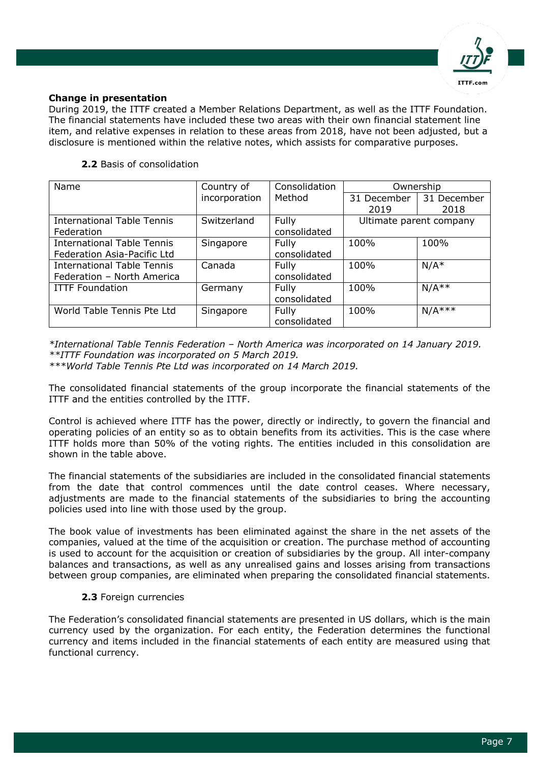

## **Notes to the consolidated financial statements 2019**

## **1. Activity**

The International Table Tennis Federation (ITTF), domiciled in Lausanne, Switzerland, is an international non-governmental not-for-profit organisation in the form of an association with the status of a legal person. The objectives of the Federation are:

**a)** to develop the spirit of friendship and mutual assistance among affiliated table tennis associations and players;

**b)** to regulate relations between affiliated table tennis associations and between table tennis associations and other organizations;

**c)** to seek continual improvement in the technical standard of table tennis and in the extent of participation in the sport throughout the world;

**d)** to foster friendly sporting competition and to eliminate unfair and unsporting practices;

**e)** to establish and maintain the Laws of Table Tennis and the Regulations for international Competitions;

**f)** to publish the standard text of the Rules, consisting of the Constitution, the Laws and the Regulations;

**g)** to encourage the publication of the Rules in other languages and to check the accuracy of such publications;

**h)** to promote and to supervise World and Olympic title competitions; and

**i)** to employ the funds of the ITTF as may be expedient in the interests of international table tennis.

**j)** to endeavor to increase participation at all levels, to enhance the popularity of the sport, to develop new sources of revenue and to manage the sport through a systematic planning process.

**k)** to encourage players, coaches and officials to present the sport positively in the best ways so as to enhance its image.

**l)** to encourage and to support the promotion of women in sport at all levels and to ensure significant representation of women in ITTF Committees, Commissions and Working Groups.

In addition to the activities of the ITTF in Lausanne, these consolidated financial statements include the activities of International Table Tennis Federation Asia-Pacific Ltd, Singapore (ITTF Singapore), International Table Tennis Federation North America, Canada (ITTF North America), ITTF Foundation, Germany and World Table Tennis Pte Ltd, Singapore (WTT).

#### **2. Summary of significant accounting policies**

**2.1** Basis of accounting

The financial statements of ITTF are presented in accordance with the Swiss Code of Obligations (title 32 of the Swiss Code of Obligations deals with the commercial accounting and financial reporting) and the significant accounting policies described below, which have been consistently applied to the years presented, unless otherwise stated. The financial statements are prepared under the historical cost convention.

Transactions and balances among the consolidated organisations have been eliminated.

These consolidated financial statements will be approved by the Audit & Finance Committee of ITTF on 14 May 2020 in representation of the ITTF Board of Directors.

The amounts shown in these consolidated financial statements are presented in US dollars, in view of the international nature of the ITTF's operations and due to the majority of its revenues being earned in that currency.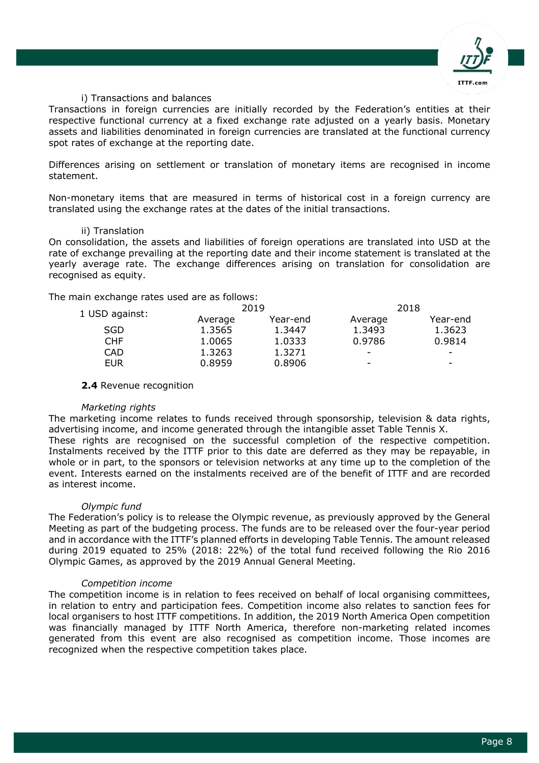

## **Change in presentation**

During 2019, the ITTF created a Member Relations Department, as well as the ITTF Foundation. The financial statements have included these two areas with their own financial statement line item, and relative expenses in relation to these areas from 2018, have not been adjusted, but a disclosure is mentioned within the relative notes, which assists for comparative purposes.

## **2.2** Basis of consolidation

| Name                              | Country of    | Consolidation | Ownership   |                         |
|-----------------------------------|---------------|---------------|-------------|-------------------------|
|                                   | incorporation | Method        | 31 December | 31 December             |
|                                   |               |               | 2019        | 2018                    |
| <b>International Table Tennis</b> | Switzerland   | Fully         |             | Ultimate parent company |
| Federation                        |               | consolidated  |             |                         |
| <b>International Table Tennis</b> | Singapore     | Fully         | 100%        | 100%                    |
| Federation Asia-Pacific Ltd       |               | consolidated  |             |                         |
| <b>International Table Tennis</b> | Canada        | <b>Fully</b>  | 100%        | $N/A^*$                 |
| Federation - North America        |               | consolidated  |             |                         |
| <b>ITTF Foundation</b>            | Germany       | Fully         | 100%        | $N/A**$                 |
|                                   |               | consolidated  |             |                         |
| World Table Tennis Pte Ltd        | Singapore     | Fully         | 100%        | $N/A***$                |
|                                   |               | consolidated  |             |                         |

*\*International Table Tennis Federation – North America was incorporated on 14 January 2019. \*\*ITTF Foundation was incorporated on 5 March 2019.*

*\*\*\*World Table Tennis Pte Ltd was incorporated on 14 March 2019.*

The consolidated financial statements of the group incorporate the financial statements of the ITTF and the entities controlled by the ITTF.

Control is achieved where ITTF has the power, directly or indirectly, to govern the financial and operating policies of an entity so as to obtain benefits from its activities. This is the case where ITTF holds more than 50% of the voting rights. The entities included in this consolidation are shown in the table above.

The financial statements of the subsidiaries are included in the consolidated financial statements from the date that control commences until the date control ceases. Where necessary, adjustments are made to the financial statements of the subsidiaries to bring the accounting policies used into line with those used by the group.

The book value of investments has been eliminated against the share in the net assets of the companies, valued at the time of the acquisition or creation. The purchase method of accounting is used to account for the acquisition or creation of subsidiaries by the group. All inter-company balances and transactions, as well as any unrealised gains and losses arising from transactions between group companies, are eliminated when preparing the consolidated financial statements.

## **2.3** Foreign currencies

The Federation's consolidated financial statements are presented in US dollars, which is the main currency used by the organization. For each entity, the Federation determines the functional currency and items included in the financial statements of each entity are measured using that functional currency.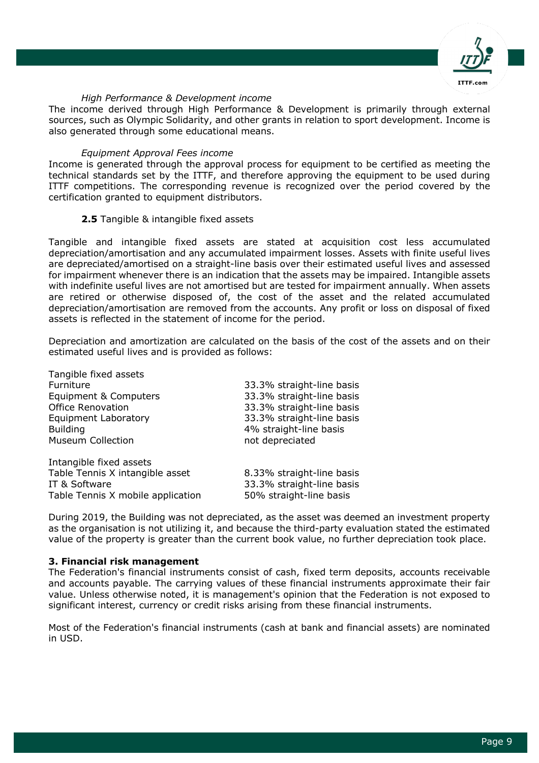

## i) Transactions and balances

Transactions in foreign currencies are initially recorded by the Federation's entities at their respective functional currency at a fixed exchange rate adjusted on a yearly basis. Monetary assets and liabilities denominated in foreign currencies are translated at the functional currency spot rates of exchange at the reporting date.

Differences arising on settlement or translation of monetary items are recognised in income statement.

Non-monetary items that are measured in terms of historical cost in a foreign currency are translated using the exchange rates at the dates of the initial transactions.

#### ii) Translation

On consolidation, the assets and liabilities of foreign operations are translated into USD at the rate of exchange prevailing at the reporting date and their income statement is translated at the yearly average rate. The exchange differences arising on translation for consolidation are recognised as equity.

The main exchange rates used are as follows:

|                |         | 2019     |                          | 2018     |
|----------------|---------|----------|--------------------------|----------|
| 1 USD against: | Average | Year-end | Average                  | Year-end |
| SGD            | 1.3565  | 1.3447   | 1.3493                   | 1.3623   |
| CHF            | 1.0065  | 1.0333   | 0.9786                   | 0.9814   |
| CAD            | 1.3263  | 1.3271   | $\overline{\phantom{0}}$ |          |
| EUR            | 0.8959  | 0.8906   | -                        | -        |
|                |         |          |                          |          |

#### **2.4** Revenue recognition

## *Marketing rights*

The marketing income relates to funds received through sponsorship, television & data rights, advertising income, and income generated through the intangible asset Table Tennis X. These rights are recognised on the successful completion of the respective competition. Instalments received by the ITTF prior to this date are deferred as they may be repayable, in whole or in part, to the sponsors or television networks at any time up to the completion of the event. Interests earned on the instalments received are of the benefit of ITTF and are recorded as interest income.

## *Olympic fund*

The Federation's policy is to release the Olympic revenue, as previously approved by the General Meeting as part of the budgeting process. The funds are to be released over the four-year period and in accordance with the ITTF's planned efforts in developing Table Tennis. The amount released during 2019 equated to 25% (2018: 22%) of the total fund received following the Rio 2016 Olympic Games, as approved by the 2019 Annual General Meeting.

#### *Competition income*

The competition income is in relation to fees received on behalf of local organising committees, in relation to entry and participation fees. Competition income also relates to sanction fees for local organisers to host ITTF competitions. In addition, the 2019 North America Open competition was financially managed by ITTF North America, therefore non-marketing related incomes generated from this event are also recognised as competition income. Those incomes are recognized when the respective competition takes place.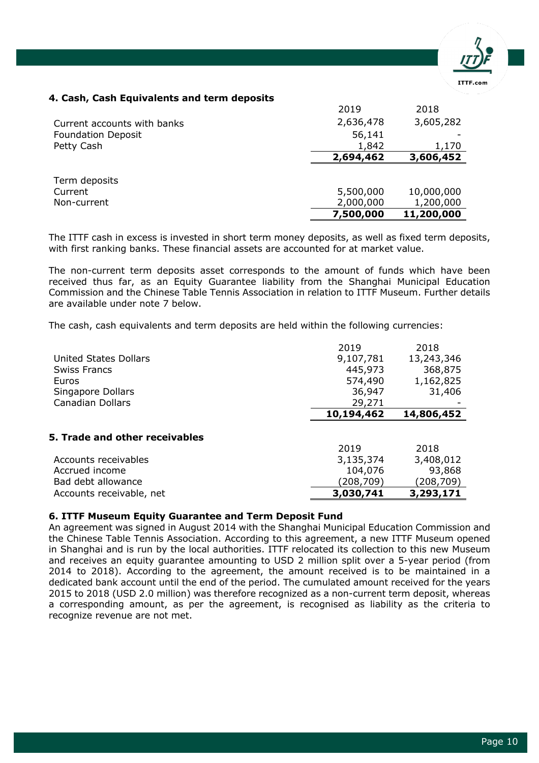

## *High Performance & Development income*

The income derived through High Performance & Development is primarily through external sources, such as Olympic Solidarity, and other grants in relation to sport development. Income is also generated through some educational means.

## *Equipment Approval Fees income*

Income is generated through the approval process for equipment to be certified as meeting the technical standards set by the ITTF, and therefore approving the equipment to be used during ITTF competitions. The corresponding revenue is recognized over the period covered by the certification granted to equipment distributors.

## **2.5** Tangible & intangible fixed assets

Tangible and intangible fixed assets are stated at acquisition cost less accumulated depreciation/amortisation and any accumulated impairment losses. Assets with finite useful lives are depreciated/amortised on a straight-line basis over their estimated useful lives and assessed for impairment whenever there is an indication that the assets may be impaired. Intangible assets with indefinite useful lives are not amortised but are tested for impairment annually. When assets are retired or otherwise disposed of, the cost of the asset and the related accumulated depreciation/amortisation are removed from the accounts. Any profit or loss on disposal of fixed assets is reflected in the statement of income for the period.

Depreciation and amortization are calculated on the basis of the cost of the assets and on their estimated useful lives and is provided as follows:

| Tangible fixed assets             |                           |
|-----------------------------------|---------------------------|
| Furniture                         | 33.3% straight-line basis |
| Equipment & Computers             | 33.3% straight-line basis |
| <b>Office Renovation</b>          | 33.3% straight-line basis |
| <b>Equipment Laboratory</b>       | 33.3% straight-line basis |
| <b>Building</b>                   | 4% straight-line basis    |
| <b>Museum Collection</b>          | not depreciated           |
| Intangible fixed assets           |                           |
| Table Tennis X intangible asset   | 8.33% straight-line basis |
| IT & Software                     | 33.3% straight-line basis |
| Table Tennis X mobile application | 50% straight-line basis   |

During 2019, the Building was not depreciated, as the asset was deemed an investment property as the organisation is not utilizing it, and because the third-party evaluation stated the estimated value of the property is greater than the current book value, no further depreciation took place.

## **3. Financial risk management**

The Federation's financial instruments consist of cash, fixed term deposits, accounts receivable and accounts payable. The carrying values of these financial instruments approximate their fair value. Unless otherwise noted, it is management's opinion that the Federation is not exposed to significant interest, currency or credit risks arising from these financial instruments.

Most of the Federation's financial instruments (cash at bank and financial assets) are nominated in USD.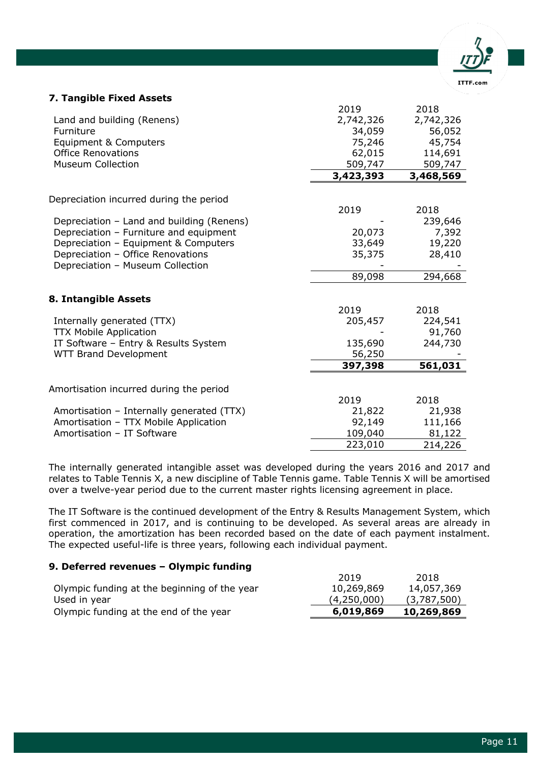

## **4. Cash, Cash Equivalents and term deposits**

|                             | 2019      | 2018       |
|-----------------------------|-----------|------------|
| Current accounts with banks | 2,636,478 | 3,605,282  |
| <b>Foundation Deposit</b>   | 56,141    |            |
| Petty Cash                  | 1,842     | 1,170      |
|                             | 2,694,462 | 3,606,452  |
|                             |           |            |
| Term deposits               |           |            |
| Current                     | 5,500,000 | 10,000,000 |
| Non-current                 | 2,000,000 | 1,200,000  |
|                             | 7,500,000 | 11,200,000 |

The ITTF cash in excess is invested in short term money deposits, as well as fixed term deposits, with first ranking banks. These financial assets are accounted for at market value.

The non-current term deposits asset corresponds to the amount of funds which have been received thus far, as an Equity Guarantee liability from the Shanghai Municipal Education Commission and the Chinese Table Tennis Association in relation to ITTF Museum. Further details are available under note 7 below.

The cash, cash equivalents and term deposits are held within the following currencies:

|                                | 2019       | 2018       |
|--------------------------------|------------|------------|
| United States Dollars          | 9,107,781  | 13,243,346 |
| <b>Swiss Francs</b>            | 445,973    | 368,875    |
| Euros                          | 574,490    | 1,162,825  |
| Singapore Dollars              | 36,947     | 31,406     |
| <b>Canadian Dollars</b>        | 29,271     |            |
|                                | 10,194,462 | 14,806,452 |
|                                |            |            |
| 5. Trade and other receivables |            |            |
|                                | 2019       | 2018       |
| Accounts receivables           | 3,135,374  | 3,408,012  |
| Accrued income                 | 104,076    | 93,868     |
| Bad debt allowance             | (208,709)  | (208,709)  |
| Accounts receivable, net       | 3,030,741  | 3,293,171  |

#### **6. ITTF Museum Equity Guarantee and Term Deposit Fund**

An agreement was signed in August 2014 with the Shanghai Municipal Education Commission and the Chinese Table Tennis Association. According to this agreement, a new ITTF Museum opened in Shanghai and is run by the local authorities. ITTF relocated its collection to this new Museum and receives an equity guarantee amounting to USD 2 million split over a 5-year period (from 2014 to 2018). According to the agreement, the amount received is to be maintained in a dedicated bank account until the end of the period. The cumulated amount received for the years 2015 to 2018 (USD 2.0 million) was therefore recognized as a non-current term deposit, whereas a corresponding amount, as per the agreement, is recognised as liability as the criteria to recognize revenue are not met.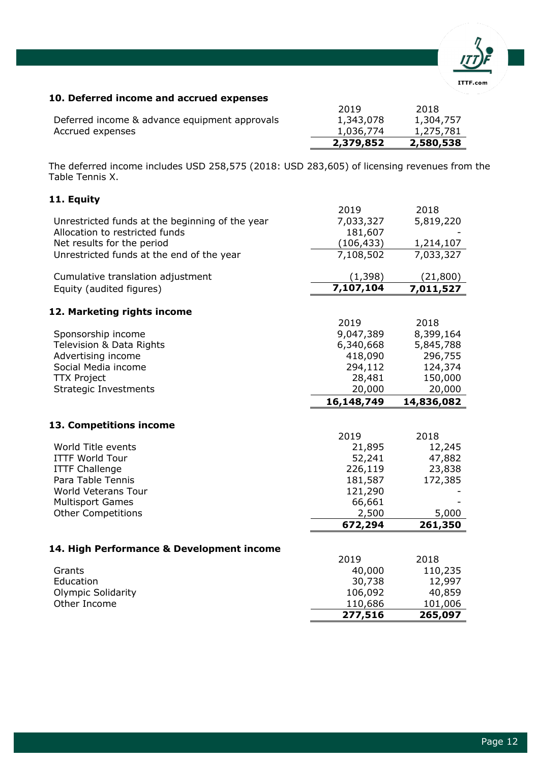

#### **7. Tangible Fixed Assets**

|                                           | 2019      | 2018      |
|-------------------------------------------|-----------|-----------|
| Land and building (Renens)                | 2,742,326 | 2,742,326 |
| Furniture                                 | 34,059    | 56,052    |
| Equipment & Computers                     | 75,246    | 45,754    |
| <b>Office Renovations</b>                 | 62,015    | 114,691   |
| <b>Museum Collection</b>                  | 509,747   | 509,747   |
|                                           | 3,423,393 | 3,468,569 |
| Depreciation incurred during the period   |           |           |
|                                           | 2019      | 2018      |
| Depreciation - Land and building (Renens) |           | 239,646   |
| Depreciation - Furniture and equipment    | 20,073    | 7,392     |
| Depreciation - Equipment & Computers      | 33,649    | 19,220    |
| Depreciation - Office Renovations         | 35,375    | 28,410    |
| Depreciation - Museum Collection          |           |           |
|                                           | 89,098    | 294,668   |
| 8. Intangible Assets                      |           |           |
|                                           | 2019      | 2018      |
| Internally generated (TTX)                | 205,457   | 224,541   |
| <b>TTX Mobile Application</b>             |           | 91,760    |
| IT Software - Entry & Results System      | 135,690   | 244,730   |
| <b>WTT Brand Development</b>              | 56,250    |           |
|                                           | 397,398   | 561,031   |
| Amortisation incurred during the period   |           |           |
|                                           | 2019      | 2018      |
| Amortisation - Internally generated (TTX) | 21,822    | 21,938    |
| Amortisation - TTX Mobile Application     | 92,149    | 111,166   |
| Amortisation - IT Software                | 109,040   | 81,122    |
|                                           | 223,010   | 214,226   |
|                                           |           |           |

The internally generated intangible asset was developed during the years 2016 and 2017 and relates to Table Tennis X, a new discipline of Table Tennis game. Table Tennis X will be amortised over a twelve-year period due to the current master rights licensing agreement in place.

The IT Software is the continued development of the Entry & Results Management System, which first commenced in 2017, and is continuing to be developed. As several areas are already in operation, the amortization has been recorded based on the date of each payment instalment. The expected useful-life is three years, following each individual payment.

## **9. Deferred revenues – Olympic funding**

| 2019        | 2018        |
|-------------|-------------|
| 10,269,869  | 14,057,369  |
| (4,250,000) | (3,787,500) |
| 6,019,869   | 10,269,869  |
|             |             |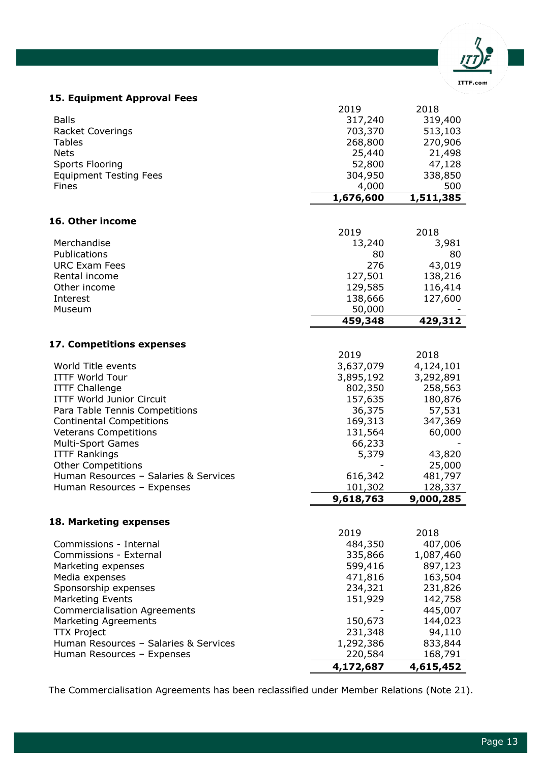

## **10. Deferred income and accrued expenses**

|                                               | 2,379,852 | 2,580,538 |
|-----------------------------------------------|-----------|-----------|
| Accrued expenses                              | 1,036,774 | 1,275,781 |
| Deferred income & advance equipment approvals | 1,343,078 | 1,304,757 |
|                                               | 2019      | 2018      |

The deferred income includes USD 258,575 (2018: USD 283,605) of licensing revenues from the Table Tennis X.

## **11. Equity**

|                                                 | 2019               | 2018               |
|-------------------------------------------------|--------------------|--------------------|
| Unrestricted funds at the beginning of the year | 7,033,327          | 5,819,220          |
| Allocation to restricted funds                  | 181,607            |                    |
| Net results for the period                      | (106, 433)         | 1,214,107          |
| Unrestricted funds at the end of the year       | 7,108,502          | 7,033,327          |
|                                                 |                    |                    |
| Cumulative translation adjustment               | (1, 398)           | (21, 800)          |
| Equity (audited figures)                        | 7,107,104          | 7,011,527          |
|                                                 |                    |                    |
| 12. Marketing rights income                     |                    |                    |
|                                                 | 2019               | 2018               |
| Sponsorship income                              | 9,047,389          | 8,399,164          |
| Television & Data Rights                        | 6,340,668          | 5,845,788          |
| Advertising income                              | 418,090            | 296,755            |
| Social Media income                             | 294,112            | 124,374            |
| <b>TTX Project</b>                              | 28,481             | 150,000            |
| <b>Strategic Investments</b>                    | 20,000             | 20,000             |
|                                                 | 16,148,749         | 14,836,082         |
|                                                 |                    |                    |
|                                                 |                    |                    |
| 13. Competitions income                         |                    |                    |
|                                                 | 2019               | 2018               |
| World Title events                              | 21,895             | 12,245             |
| <b>ITTF World Tour</b>                          | 52,241             | 47,882             |
| <b>ITTF Challenge</b>                           | 226,119            | 23,838             |
| Para Table Tennis                               | 181,587            | 172,385            |
| <b>World Veterans Tour</b>                      | 121,290            |                    |
| <b>Multisport Games</b>                         | 66,661             |                    |
| <b>Other Competitions</b>                       | 2,500              | 5,000              |
|                                                 | 672,294            | 261,350            |
|                                                 |                    |                    |
| 14. High Performance & Development income       |                    |                    |
|                                                 | 2019               | 2018               |
| Grants                                          | 40,000             | 110,235            |
| Education                                       | 30,738             | 12,997             |
| <b>Olympic Solidarity</b>                       | 106,092            | 40,859             |
| Other Income                                    | 110,686<br>277,516 | 101,006<br>265,097 |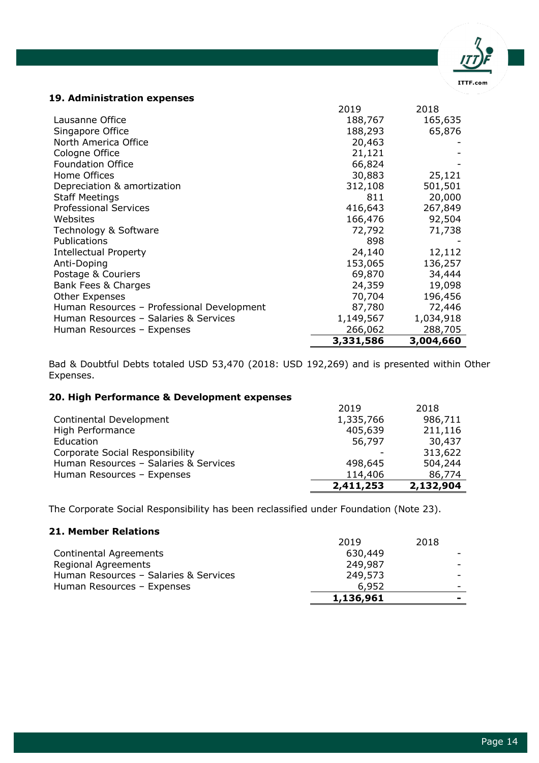

## **15. Equipment Approval Fees**

| <b>Balls</b><br><b>Racket Coverings</b>          | 2019<br>317,240<br>703,370 | 2018<br>319,400<br>513,103 |
|--------------------------------------------------|----------------------------|----------------------------|
| <b>Tables</b>                                    | 268,800                    | 270,906                    |
| <b>Nets</b>                                      | 25,440                     | 21,498                     |
| Sports Flooring                                  | 52,800                     | 47,128                     |
| <b>Equipment Testing Fees</b>                    | 304,950                    | 338,850                    |
| Fines                                            | 4,000                      | 500                        |
|                                                  | 1,676,600                  | 1,511,385                  |
|                                                  |                            |                            |
| 16. Other income                                 | 2019                       | 2018                       |
| Merchandise                                      | 13,240                     | 3,981                      |
| Publications                                     | 80                         | 80                         |
| <b>URC Exam Fees</b>                             | 276                        | 43,019                     |
| Rental income                                    | 127,501                    | 138,216                    |
| Other income                                     | 129,585                    | 116,414                    |
| Interest                                         | 138,666                    | 127,600                    |
| Museum                                           | 50,000                     |                            |
|                                                  | 459,348                    | 429,312                    |
| 17. Competitions expenses                        |                            |                            |
|                                                  | 2019                       | 2018                       |
| World Title events                               | 3,637,079                  | 4,124,101                  |
| <b>ITTF World Tour</b>                           | 3,895,192                  | 3,292,891                  |
| <b>ITTF Challenge</b>                            | 802,350                    | 258,563                    |
| <b>ITTF World Junior Circuit</b>                 | 157,635                    | 180,876                    |
| Para Table Tennis Competitions                   | 36,375                     | 57,531                     |
| <b>Continental Competitions</b>                  | 169,313                    | 347,369                    |
| <b>Veterans Competitions</b>                     | 131,564                    | 60,000                     |
| <b>Multi-Sport Games</b>                         | 66,233                     |                            |
| <b>ITTF Rankings</b>                             | 5,379                      | 43,820                     |
| <b>Other Competitions</b>                        |                            | 25,000                     |
| Human Resources - Salaries & Services            | 616,342                    | 481,797                    |
| Human Resources - Expenses                       | 101,302<br>9,618,763       | 128,337<br>9,000,285       |
|                                                  |                            |                            |
| 18. Marketing expenses                           |                            |                            |
|                                                  | 2019                       | 2018                       |
| Commissions - Internal<br>Commissions - External | 484,350                    | 407,006                    |
| Marketing expenses                               | 335,866<br>599,416         | 1,087,460<br>897,123       |
| Media expenses                                   | 471,816                    | 163,504                    |
| Sponsorship expenses                             | 234,321                    | 231,826                    |
| <b>Marketing Events</b>                          | 151,929                    | 142,758                    |
| <b>Commercialisation Agreements</b>              |                            | 445,007                    |
| <b>Marketing Agreements</b>                      | 150,673                    | 144,023                    |
| <b>TTX Project</b>                               | 231,348                    | 94,110                     |
| Human Resources - Salaries & Services            | 1,292,386                  | 833,844                    |
| Human Resources - Expenses                       | 220,584                    | 168,791                    |
|                                                  | 4,172,687                  | 4,615,452                  |

The Commercialisation Agreements has been reclassified under Member Relations (Note 21).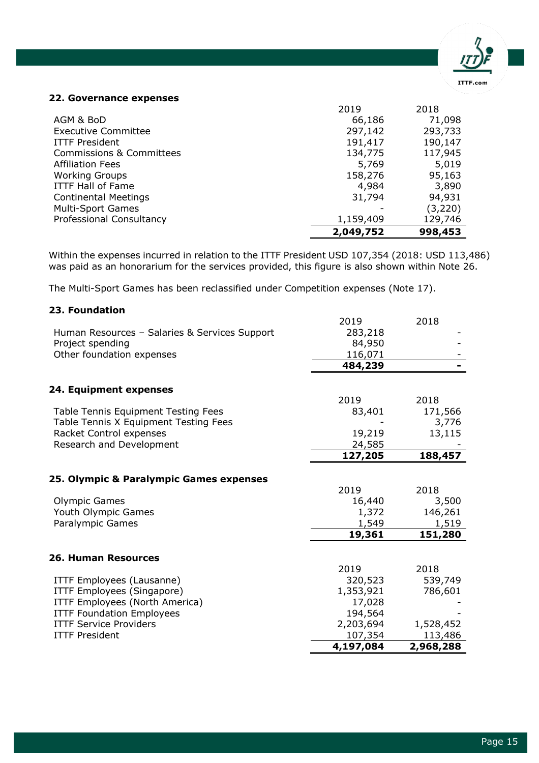## **19. Administration expenses**

|                                            | 2019      | 2018      |
|--------------------------------------------|-----------|-----------|
| Lausanne Office                            | 188,767   | 165,635   |
| Singapore Office                           | 188,293   | 65,876    |
| North America Office                       | 20,463    |           |
| Cologne Office                             | 21,121    |           |
| <b>Foundation Office</b>                   | 66,824    |           |
| Home Offices                               | 30,883    | 25,121    |
| Depreciation & amortization                | 312,108   | 501,501   |
| <b>Staff Meetings</b>                      | 811       | 20,000    |
| <b>Professional Services</b>               | 416,643   | 267,849   |
| Websites                                   | 166,476   | 92,504    |
| Technology & Software                      | 72,792    | 71,738    |
| Publications                               | 898       |           |
| <b>Intellectual Property</b>               | 24,140    | 12,112    |
| Anti-Doping                                | 153,065   | 136,257   |
| Postage & Couriers                         | 69,870    | 34,444    |
| Bank Fees & Charges                        | 24,359    | 19,098    |
| Other Expenses                             | 70,704    | 196,456   |
| Human Resources - Professional Development | 87,780    | 72,446    |
| Human Resources - Salaries & Services      | 1,149,567 | 1,034,918 |
| Human Resources - Expenses                 | 266,062   | 288,705   |
|                                            | 3,331,586 | 3,004,660 |

Bad & Doubtful Debts totaled USD 53,470 (2018: USD 192,269) and is presented within Other Expenses.

## **20. High Performance & Development expenses**

|                                        | 2,411,253 | 2,132,904 |
|----------------------------------------|-----------|-----------|
| Human Resources - Expenses             | 114,406   | 86,774    |
| Human Resources - Salaries & Services  | 498,645   | 504,244   |
| <b>Corporate Social Responsibility</b> |           | 313,622   |
| Education                              | 56,797    | 30,437    |
| High Performance                       | 405,639   | 211,116   |
| Continental Development                | 1,335,766 | 986,711   |
|                                        | 2019      | 2018      |

The Corporate Social Responsibility has been reclassified under Foundation (Note 23).

## **21. Member Relations**

|                                       | 1,136,961 |      |
|---------------------------------------|-----------|------|
| Human Resources - Expenses            | 6.952     |      |
| Human Resources - Salaries & Services | 249,573   |      |
| Regional Agreements                   | 249,987   |      |
| Continental Agreements                | 630,449   |      |
|                                       | 2019      | 2018 |

ITTF.com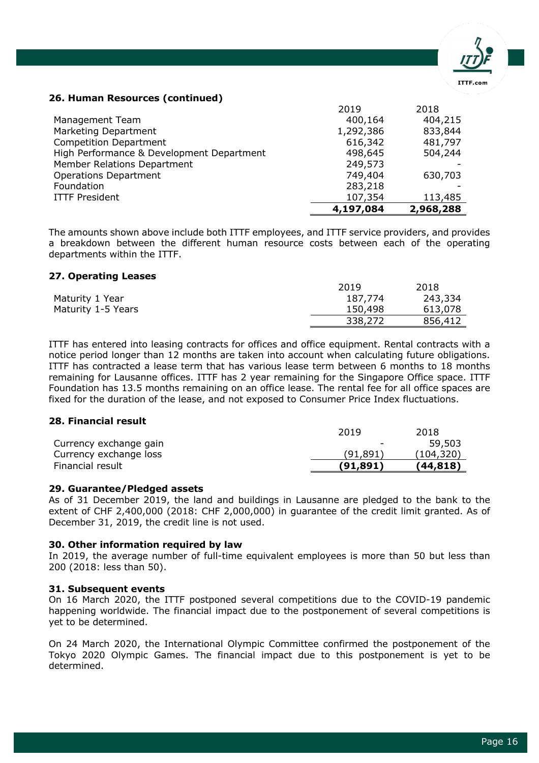

#### **22. Governance expenses**

|                             | 2019      | 2018    |
|-----------------------------|-----------|---------|
| AGM & BoD                   | 66,186    | 71,098  |
| <b>Executive Committee</b>  | 297,142   | 293,733 |
| <b>ITTF President</b>       | 191,417   | 190,147 |
| Commissions & Committees    | 134,775   | 117,945 |
| <b>Affiliation Fees</b>     | 5,769     | 5,019   |
| <b>Working Groups</b>       | 158,276   | 95,163  |
| <b>ITTF Hall of Fame</b>    | 4,984     | 3,890   |
| <b>Continental Meetings</b> | 31,794    | 94,931  |
| <b>Multi-Sport Games</b>    |           | (3,220) |
| Professional Consultancy    | 1,159,409 | 129,746 |
|                             | 2,049,752 | 998,453 |

Within the expenses incurred in relation to the ITTF President USD 107,354 (2018: USD 113,486) was paid as an honorarium for the services provided, this figure is also shown within Note 26.

The Multi-Sport Games has been reclassified under Competition expenses (Note 17).

#### **23. Foundation**

|                                               | 4,197,084 | 2,968,288 |
|-----------------------------------------------|-----------|-----------|
| <b>ITTF President</b>                         | 107,354   | 113,486   |
| <b>ITTF Service Providers</b>                 | 2,203,694 | 1,528,452 |
| <b>ITTF Foundation Employees</b>              | 194,564   |           |
| ITTF Employees (North America)                | 17,028    |           |
| ITTF Employees (Singapore)                    | 1,353,921 | 786,601   |
| ITTF Employees (Lausanne)                     | 320,523   | 539,749   |
|                                               | 2019      | 2018      |
| <b>26. Human Resources</b>                    |           |           |
|                                               |           | 151,280   |
|                                               | 19,361    |           |
| Paralympic Games                              | 1,549     | 1,519     |
| Youth Olympic Games                           | 1,372     | 146,261   |
| <b>Olympic Games</b>                          | 16,440    | 3,500     |
|                                               | 2019      | 2018      |
| 25. Olympic & Paralympic Games expenses       |           |           |
|                                               | 127,205   | 188,457   |
| Research and Development                      | 24,585    |           |
| Racket Control expenses                       | 19,219    | 13,115    |
| Table Tennis X Equipment Testing Fees         |           | 3,776     |
| Table Tennis Equipment Testing Fees           | 83,401    | 171,566   |
|                                               | 2019      | 2018      |
| 24. Equipment expenses                        |           |           |
|                                               |           |           |
|                                               | 484,239   |           |
| Other foundation expenses                     | 116,071   |           |
| Project spending                              | 84,950    |           |
| Human Resources - Salaries & Services Support | 283,218   |           |
|                                               | 2019      | 2018      |